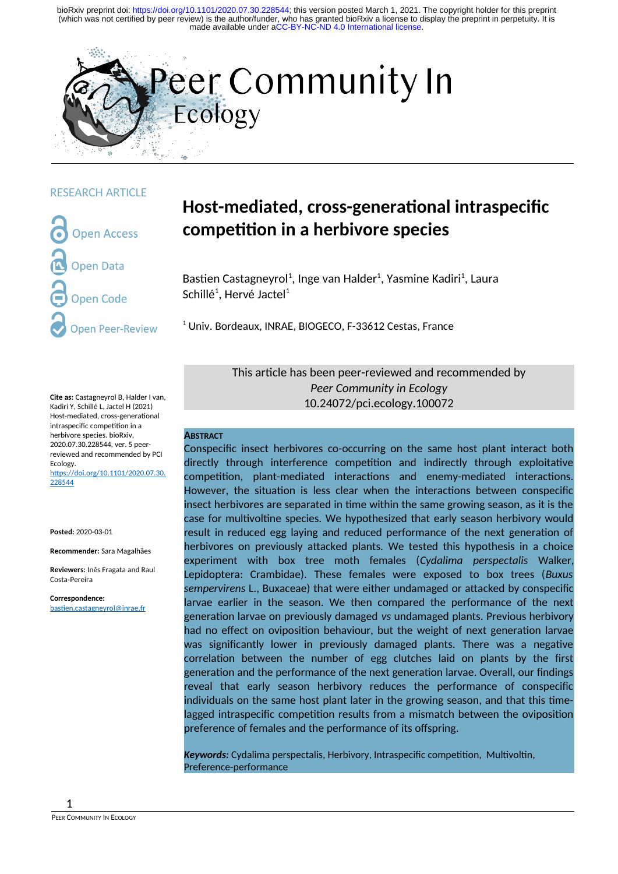

#### RESEARCH ARTICLE

**Open Access Open Data** pen Code **pen Peer-Review** 

**Cite as:** Castagneyrol B, Halder I van, Kadiri Y, Schillé L, Jactel H (2021) Host-mediated, cross-generational intraspecific competition in a herbivore species. bioRxiv, 2020.07.30.228544, ver. 5 peerreviewed and recommended by PCI Ecology. [https://doi.org/10.1101/2020.07.30.](https://doi.org/10.1101/2020.07.30.228544) [228544](https://doi.org/10.1101/2020.07.30.228544)

**Posted:** 2020-03-01

**Recommender:** Sara Magalhães

**Reviewers:** Inês Fragata and Raul Costa-Pereira

**Correspondence:** [bastien.castagneyrol@inrae.fr](mailto:bastien.castagneyrol@inrae.fr)

# **Host-mediated, cross-generational intraspecific competition in a herbivore species**

Bastien Castagneyrol<sup>1</sup>, Inge van Halder<sup>1</sup>, Yasmine Kadiri<sup>1</sup>, Laura Schillé<sup>1</sup>, Hervé Jactel<sup>1</sup>

<sup>1</sup> Univ. Bordeaux, INRAE, BIOGECO, F-33612 Cestas, France

This article has been peer-reviewed and recommended by *Peer Community in Ecology* 10.24072/pci.ecology.100072

#### **ABSTRACT**

Conspecific insect herbivores co-occurring on the same host plant interact both directly through interference competition and indirectly through exploitative competition, plant-mediated interactions and enemy-mediated interactions. However, the situation is less clear when the interactions between conspecific insect herbivores are separated in time within the same growing season, as it is the case for multivoltine species. We hypothesized that early season herbivory would result in reduced egg laying and reduced performance of the next generation of herbivores on previously attacked plants. We tested this hypothesis in a choice experiment with box tree moth females (*Cydalima perspectalis* Walker, Lepidoptera: Crambidae). These females were exposed to box trees (*Buxus sempervirens* L., Buxaceae) that were either undamaged or attacked by conspecific larvae earlier in the season. We then compared the performance of the next generation larvae on previously damaged *vs* undamaged plants. Previous herbivory had no effect on oviposition behaviour, but the weight of next generation larvae was significantly lower in previously damaged plants. There was a negative correlation between the number of egg clutches laid on plants by the first generation and the performance of the next generation larvae. Overall, our findings reveal that early season herbivory reduces the performance of conspecific individuals on the same host plant later in the growing season, and that this timelagged intraspecific competition results from a mismatch between the oviposition preference of females and the performance of its offspring.

*Keywords:* Cydalima perspectalis, Herbivory, Intraspecific competition, Multivoltin, Preference-performance

1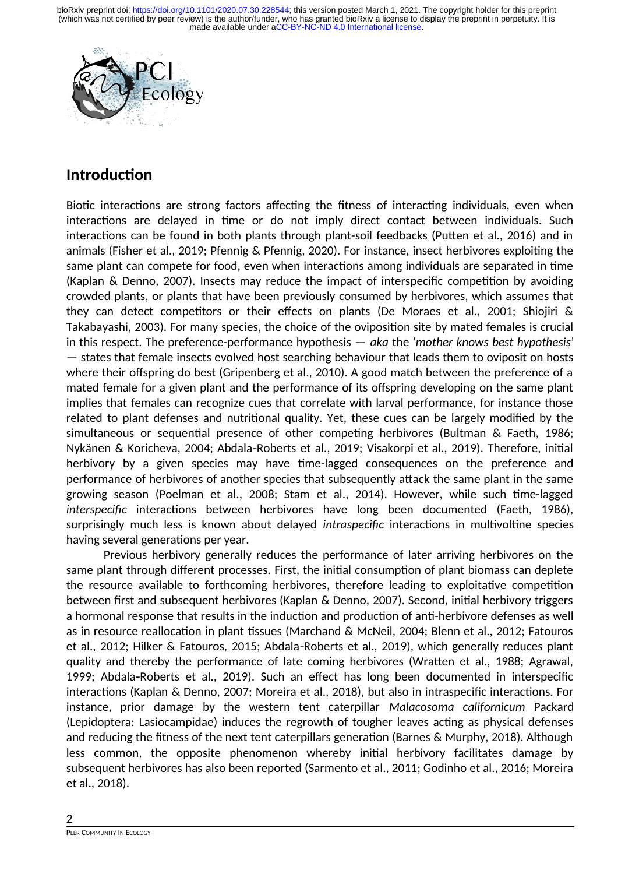

## **Introduction**

Biotic interactions are strong factors affecting the fitness of interacting individuals, even when interactions are delayed in time or do not imply direct contact between individuals. Such interactions can be found in both plants through plant-soil feedbacks (Putten et al., 2016) and in animals (Fisher et al., 2019; Pfennig & Pfennig, 2020). For instance, insect herbivores exploiting the same plant can compete for food, even when interactions among individuals are separated in time (Kaplan & Denno, 2007). Insects may reduce the impact of interspecific competition by avoiding crowded plants, or plants that have been previously consumed by herbivores, which assumes that they can detect competitors or their effects on plants (De Moraes et al., 2001; Shiojiri & Takabayashi, 2003). For many species, the choice of the oviposition site by mated females is crucial in this respect. The preference-performance hypothesis — *aka* the '*mother knows best hypothesis*' — states that female insects evolved host searching behaviour that leads them to oviposit on hosts where their offspring do best (Gripenberg et al., 2010). A good match between the preference of a mated female for a given plant and the performance of its offspring developing on the same plant implies that females can recognize cues that correlate with larval performance, for instance those related to plant defenses and nutritional quality. Yet, these cues can be largely modified by the simultaneous or sequential presence of other competing herbivores (Bultman & Faeth, 1986; Nykänen & Koricheva, 2004; Abdala Roberts et al., 2019; Visakorpi et al., 2019). Therefore, initial herbivory by a given species may have time-lagged consequences on the preference and performance of herbivores of another species that subsequently attack the same plant in the same growing season (Poelman et al., 2008; Stam et al., 2014). However, while such time-lagged *interspecific* interactions between herbivores have long been documented (Faeth, 1986), surprisingly much less is known about delayed *intraspecific* interactions in multivoltine species having several generations per year.

Previous herbivory generally reduces the performance of later arriving herbivores on the same plant through different processes. First, the initial consumption of plant biomass can deplete the resource available to forthcoming herbivores, therefore leading to exploitative competition between first and subsequent herbivores (Kaplan & Denno, 2007). Second, initial herbivory triggers a hormonal response that results in the induction and production of anti-herbivore defenses as well as in resource reallocation in plant tissues (Marchand & McNeil, 2004; Blenn et al., 2012; Fatouros et al., 2012; Hilker & Fatouros, 2015; Abdala Roberts et al., 2019), which generally reduces plant quality and thereby the performance of late coming herbivores (Wratten et al., 1988; Agrawal, 1999; Abdala Roberts et al., 2019). Such an effect has long been documented in interspecific interactions (Kaplan & Denno, 2007; Moreira et al., 2018), but also in intraspecific interactions. For instance, prior damage by the western tent caterpillar *Malacosoma californicum* Packard (Lepidoptera: Lasiocampidae) induces the regrowth of tougher leaves acting as physical defenses and reducing the fitness of the next tent caterpillars generation (Barnes & Murphy, 2018). Although less common, the opposite phenomenon whereby initial herbivory facilitates damage by subsequent herbivores has also been reported (Sarmento et al., 2011; Godinho et al., 2016; Moreira et al., 2018).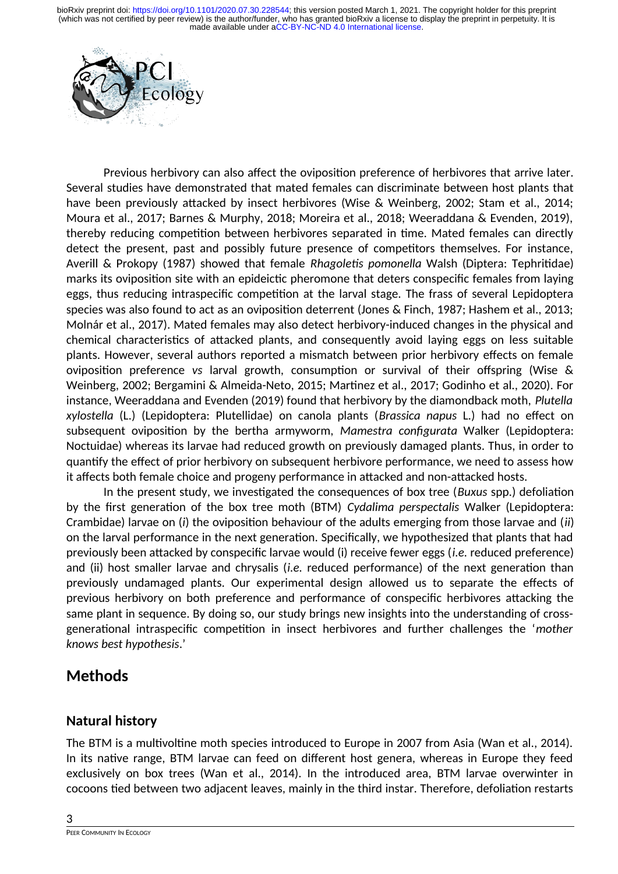

Previous herbivory can also affect the oviposition preference of herbivores that arrive later. Several studies have demonstrated that mated females can discriminate between host plants that have been previously attacked by insect herbivores (Wise & Weinberg, 2002; Stam et al., 2014; Moura et al., 2017; Barnes & Murphy, 2018; Moreira et al., 2018; Weeraddana & Evenden, 2019), thereby reducing competition between herbivores separated in time. Mated females can directly detect the present, past and possibly future presence of competitors themselves. For instance, Averill & Prokopy (1987) showed that female *Rhagoletis pomonella* Walsh (Diptera: Tephritidae) marks its oviposition site with an epideictic pheromone that deters conspecific females from laying eggs, thus reducing intraspecific competition at the larval stage. The frass of several Lepidoptera species was also found to act as an oviposition deterrent (Jones & Finch, 1987; Hashem et al., 2013; Molnár et al., 2017). Mated females may also detect herbivory-induced changes in the physical and chemical characteristics of attacked plants, and consequently avoid laying eggs on less suitable plants. However, several authors reported a mismatch between prior herbivory effects on female oviposition preference *vs* larval growth, consumption or survival of their offspring (Wise & Weinberg, 2002; Bergamini & Almeida-Neto, 2015; Martinez et al., 2017; Godinho et al., 2020). For instance, Weeraddana and Evenden (2019) found that herbivory by the diamondback moth, *Plutella xylostella* (L.) (Lepidoptera: Plutellidae) on canola plants (*Brassica napus* L.) had no effect on subsequent oviposition by the bertha armyworm, *Mamestra configurata* Walker (Lepidoptera: Noctuidae) whereas its larvae had reduced growth on previously damaged plants. Thus, in order to quantify the effect of prior herbivory on subsequent herbivore performance, we need to assess how it affects both female choice and progeny performance in attacked and non-attacked hosts.

In the present study, we investigated the consequences of box tree (*Buxus* spp.) defoliation by the first generation of the box tree moth (BTM) *Cydalima perspectalis* Walker (Lepidoptera: Crambidae) larvae on (*i*) the oviposition behaviour of the adults emerging from those larvae and (*ii*) on the larval performance in the next generation. Specifically, we hypothesized that plants that had previously been attacked by conspecific larvae would (i) receive fewer eggs (*i.e.* reduced preference) and (ii) host smaller larvae and chrysalis (*i.e.* reduced performance) of the next generation than previously undamaged plants. Our experimental design allowed us to separate the effects of previous herbivory on both preference and performance of conspecific herbivores attacking the same plant in sequence. By doing so, our study brings new insights into the understanding of crossgenerational intraspecific competition in insect herbivores and further challenges the '*mother knows best hypothesis*.'

## **Methods**

### **Natural history**

The BTM is a multivoltine moth species introduced to Europe in 2007 from Asia (Wan et al., 2014). In its native range, BTM larvae can feed on different host genera, whereas in Europe they feed exclusively on box trees (Wan et al., 2014). In the introduced area, BTM larvae overwinter in cocoons tied between two adjacent leaves, mainly in the third instar. Therefore, defoliation restarts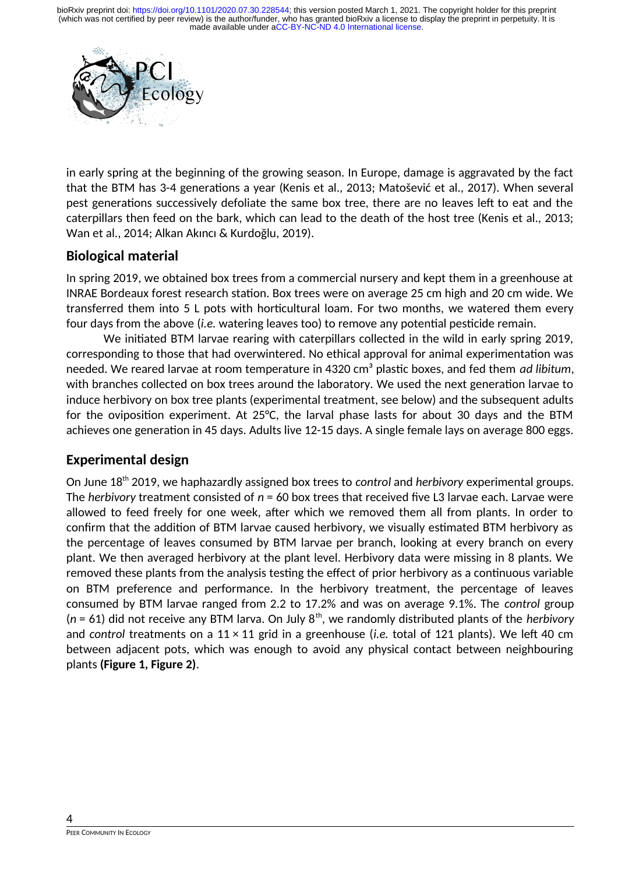

in early spring at the beginning of the growing season. In Europe, damage is aggravated by the fact that the BTM has 3-4 generations a year (Kenis et al., 2013; Matošević et al., 2017). When several pest generations successively defoliate the same box tree, there are no leaves left to eat and the caterpillars then feed on the bark, which can lead to the death of the host tree (Kenis et al., 2013; Wan et al., 2014; Alkan Akıncı & Kurdoğlu, 2019).

### **Biological material**

In spring 2019, we obtained box trees from a commercial nursery and kept them in a greenhouse at INRAE Bordeaux forest research station. Box trees were on average 25 cm high and 20 cm wide. We transferred them into 5 L pots with horticultural loam. For two months, we watered them every four days from the above (*i.e.* watering leaves too) to remove any potential pesticide remain.

We initiated BTM larvae rearing with caterpillars collected in the wild in early spring 2019, corresponding to those that had overwintered. No ethical approval for animal experimentation was needed. We reared larvae at room temperature in 4320 cm<sup>3</sup> plastic boxes, and fed them *ad libitum*, with branches collected on box trees around the laboratory. We used the next generation larvae to induce herbivory on box tree plants (experimental treatment, see below) and the subsequent adults for the oviposition experiment. At 25°C, the larval phase lasts for about 30 days and the BTM achieves one generation in 45 days. Adults live 12-15 days. A single female lays on average 800 eggs.

### **Experimental design**

On June 18th 2019, we haphazardly assigned box trees to *control* and *herbivory* experimental groups. The *herbivory* treatment consisted of *n* = 60 box trees that received five L3 larvae each. Larvae were allowed to feed freely for one week, after which we removed them all from plants. In order to confirm that the addition of BTM larvae caused herbivory, we visually estimated BTM herbivory as the percentage of leaves consumed by BTM larvae per branch, looking at every branch on every plant. We then averaged herbivory at the plant level. Herbivory data were missing in 8 plants. We removed these plants from the analysis testing the effect of prior herbivory as a continuous variable on BTM preference and performance. In the herbivory treatment, the percentage of leaves consumed by BTM larvae ranged from 2.2 to 17.2% and was on average 9.1%. The *control* group (*n* = 61) did not receive any BTM larva. On July 8th, we randomly distributed plants of the *herbivory* and *control* treatments on a 11 × 11 grid in a greenhouse (*i.e.* total of 121 plants). We left 40 cm between adjacent pots, which was enough to avoid any physical contact between neighbouring plants **(Figure 1, Figure 2)**.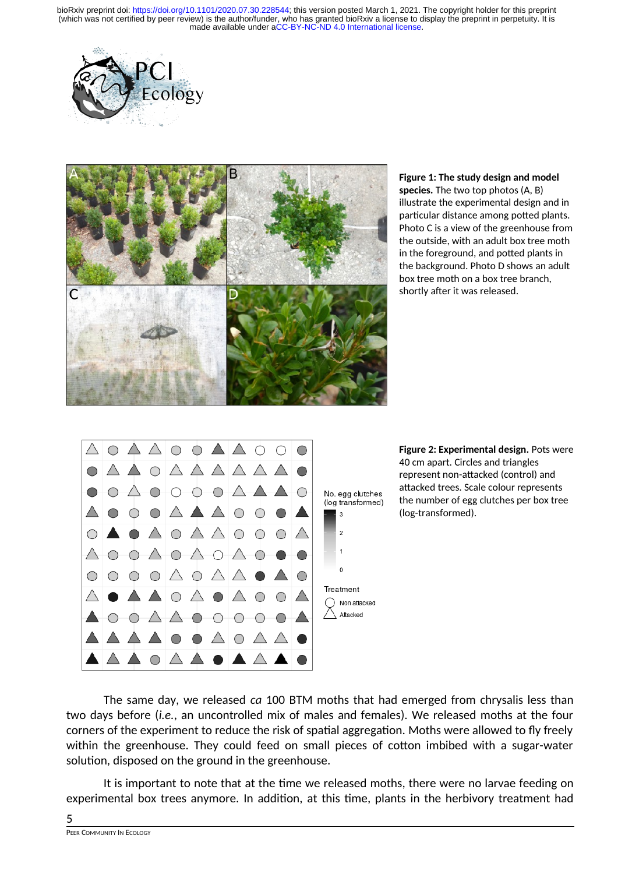



**Figure 1: The study design and model species.** The two top photos (A, B) illustrate the experimental design and in particular distance among potted plants. Photo C is a view of the greenhouse from the outside, with an adult box tree moth in the foreground, and potted plants in the background. Photo D shows an adult box tree moth on a box tree branch, shortly after it was released.





The same day, we released *ca* 100 BTM moths that had emerged from chrysalis less than two days before (*i.e.*, an uncontrolled mix of males and females). We released moths at the four corners of the experiment to reduce the risk of spatial aggregation. Moths were allowed to fly freely within the greenhouse. They could feed on small pieces of cotton imbibed with a sugar-water solution, disposed on the ground in the greenhouse.

It is important to note that at the time we released moths, there were no larvae feeding on experimental box trees anymore. In addition, at this time, plants in the herbivory treatment had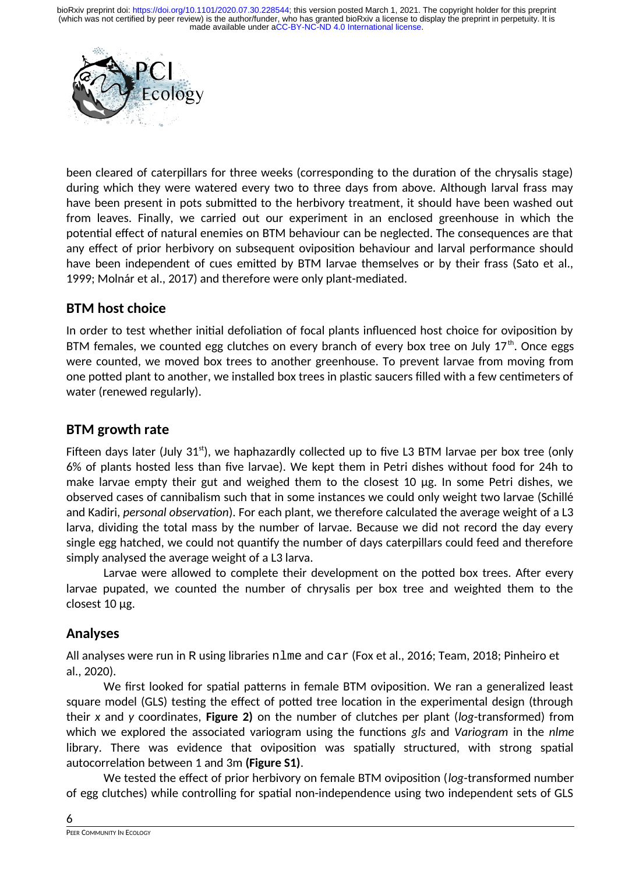

been cleared of caterpillars for three weeks (corresponding to the duration of the chrysalis stage) during which they were watered every two to three days from above. Although larval frass may have been present in pots submitted to the herbivory treatment, it should have been washed out from leaves. Finally, we carried out our experiment in an enclosed greenhouse in which the potential effect of natural enemies on BTM behaviour can be neglected. The consequences are that any effect of prior herbivory on subsequent oviposition behaviour and larval performance should have been independent of cues emitted by BTM larvae themselves or by their frass (Sato et al., 1999; Molnár et al., 2017) and therefore were only plant-mediated.

### **BTM host choice**

In order to test whether initial defoliation of focal plants influenced host choice for oviposition by BTM females, we counted egg clutches on every branch of every box tree on July  $17<sup>th</sup>$ . Once eggs were counted, we moved box trees to another greenhouse. To prevent larvae from moving from one potted plant to another, we installed box trees in plastic saucers filled with a few centimeters of water (renewed regularly).

#### **BTM growth rate**

Fifteen days later (July  $31<sup>st</sup>$ ), we haphazardly collected up to five L3 BTM larvae per box tree (only 6% of plants hosted less than five larvae). We kept them in Petri dishes without food for 24h to make larvae empty their gut and weighed them to the closest 10 µg. In some Petri dishes, we observed cases of cannibalism such that in some instances we could only weight two larvae (Schillé and Kadiri, *personal observation*). For each plant, we therefore calculated the average weight of a L3 larva, dividing the total mass by the number of larvae. Because we did not record the day every single egg hatched, we could not quantify the number of days caterpillars could feed and therefore simply analysed the average weight of a L3 larva.

Larvae were allowed to complete their development on the potted box trees. After every larvae pupated, we counted the number of chrysalis per box tree and weighted them to the closest 10 µg.

### **Analyses**

All analyses were run in R using libraries nlme and car (Fox et al., 2016; Team, 2018; Pinheiro et al., 2020).

We first looked for spatial patterns in female BTM oviposition. We ran a generalized least square model (GLS) testing the effect of potted tree location in the experimental design (through their *x* and *y* coordinates, **Figure 2)** on the number of clutches per plant (*log*-transformed) from which we explored the associated variogram using the functions *gls* and *Variogram* in the *nlme* library. There was evidence that oviposition was spatially structured, with strong spatial autocorrelation between 1 and 3m **(Figure S1)**.

We tested the effect of prior herbivory on female BTM oviposition (*log*-transformed number of egg clutches) while controlling for spatial non-independence using two independent sets of GLS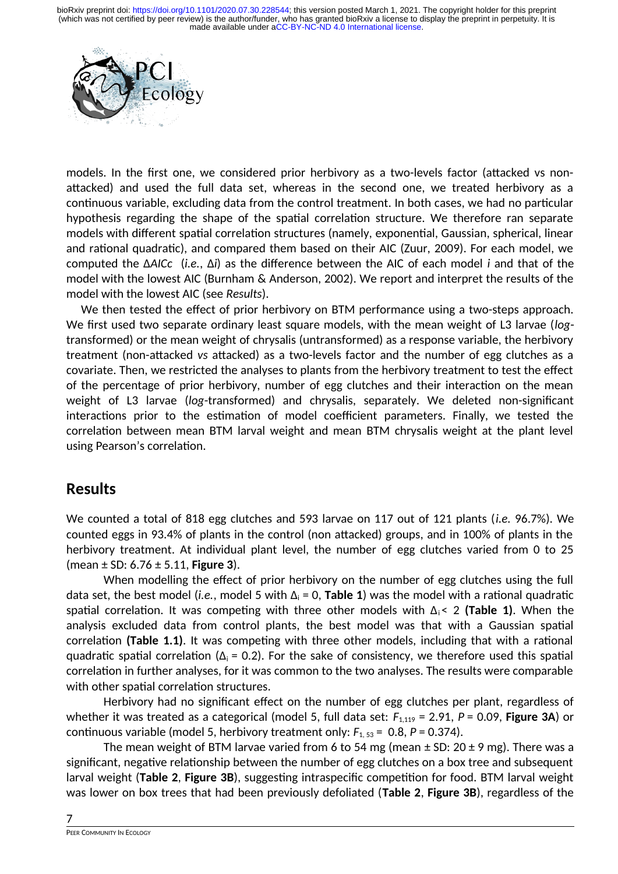

models. In the first one, we considered prior herbivory as a two-levels factor (attacked vs nonattacked) and used the full data set, whereas in the second one, we treated herbivory as a continuous variable, excluding data from the control treatment. In both cases, we had no particular hypothesis regarding the shape of the spatial correlation structure. We therefore ran separate models with different spatial correlation structures (namely, exponential, Gaussian, spherical, linear and rational quadratic), and compared them based on their AIC (Zuur, 2009). For each model, we computed the Δ*AICc* (*i.e.*, Δ*i*) as the difference between the AIC of each model *i* and that of the model with the lowest AIC (Burnham & Anderson, 2002). We report and interpret the results of the model with the lowest AIC (see *Results*).

We then tested the effect of prior herbivory on BTM performance using a two-steps approach. We first used two separate ordinary least square models, with the mean weight of L3 larvae (*log*transformed) or the mean weight of chrysalis (untransformed) as a response variable, the herbivory treatment (non-attacked *vs* attacked) as a two-levels factor and the number of egg clutches as a covariate. Then, we restricted the analyses to plants from the herbivory treatment to test the effect of the percentage of prior herbivory, number of egg clutches and their interaction on the mean weight of L3 larvae (*log*-transformed) and chrysalis, separately. We deleted non-significant interactions prior to the estimation of model coefficient parameters. Finally, we tested the correlation between mean BTM larval weight and mean BTM chrysalis weight at the plant level using Pearson's correlation.

### **Results**

We counted a total of 818 egg clutches and 593 larvae on 117 out of 121 plants (*i.e.* 96.7%). We counted eggs in 93.4% of plants in the control (non attacked) groups, and in 100% of plants in the herbivory treatment. At individual plant level, the number of egg clutches varied from 0 to 25 (mean ± SD: 6.76 ± 5.11, **Figure 3**).

When modelling the effect of prior herbivory on the number of egg clutches using the full data set, the best model (*i.e.*, model 5 with  $\Delta_i = 0$ , **Table 1**) was the model with a rational quadratic spatial correlation. It was competing with three other models with  $\Delta_i$  < 2 (**Table 1**). When the analysis excluded data from control plants, the best model was that with a Gaussian spatial correlation **(Table 1.1)**. It was competing with three other models, including that with a rational quadratic spatial correlation ( $\Delta_i$  = 0.2). For the sake of consistency, we therefore used this spatial correlation in further analyses, for it was common to the two analyses. The results were comparable with other spatial correlation structures.

Herbivory had no significant effect on the number of egg clutches per plant, regardless of whether it was treated as a categorical (model 5, full data set:  $F_{1,119}$  = 2.91, *P* = 0.09, **Figure 3A**) or continuous variable (model 5, herbivory treatment only:  $F_{1,53} = 0.8$ ,  $P = 0.374$ ).

The mean weight of BTM larvae varied from 6 to 54 mg (mean  $\pm$  SD: 20  $\pm$  9 mg). There was a significant, negative relationship between the number of egg clutches on a box tree and subsequent larval weight (**Table 2**, **Figure 3B**), suggesting intraspecific competition for food. BTM larval weight was lower on box trees that had been previously defoliated (**Table 2**, **Figure 3B**), regardless of the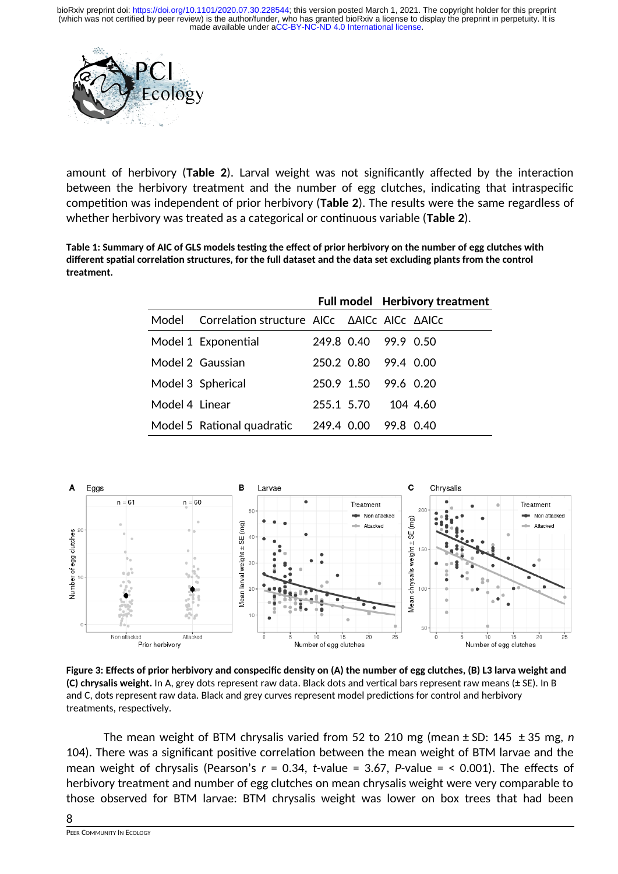

amount of herbivory (**Table 2**). Larval weight was not significantly affected by the interaction between the herbivory treatment and the number of egg clutches, indicating that intraspecific competition was independent of prior herbivory (**Table 2**). The results were the same regardless of whether herbivory was treated as a categorical or continuous variable (**Table 2**).

**Table 1: Summary of AIC of GLS models testing the effect of prior herbivory on the number of egg clutches with different spatial correlation structures, for the full dataset and the data set excluding plants from the control treatment.**

|                |                                             |            |                      | <b>Full model</b> Herbivory treatment |          |  |
|----------------|---------------------------------------------|------------|----------------------|---------------------------------------|----------|--|
| Model          | Correlation structure AICc AAICc AICc AAICc |            |                      |                                       |          |  |
|                | Model 1 Exponential                         |            | 249.8 0.40 99.9 0.50 |                                       |          |  |
|                | Model 2 Gaussian                            |            | 250.2 0.80 99.4 0.00 |                                       |          |  |
|                | Model 3 Spherical                           |            | 250.9 1.50 99.6 0.20 |                                       |          |  |
| Model 4 Linear |                                             | 255.1 5.70 |                      |                                       | 104 4.60 |  |
|                | Model 5 Rational quadratic 249.4 0.00       |            |                      | 99.8 0.40                             |          |  |



**Figure 3: Effects of prior herbivory and conspecific density on (A) the number of egg clutches, (B) L3 larva weight and (C) chrysalis weight.** In A, grey dots represent raw data. Black dots and vertical bars represent raw means (± SE). In B and C, dots represent raw data. Black and grey curves represent model predictions for control and herbivory treatments, respectively.

The mean weight of BTM chrysalis varied from 52 to 210 mg (mean ± SD: 145 ± 35 mg, *n* 104). There was a significant positive correlation between the mean weight of BTM larvae and the mean weight of chrysalis (Pearson's *r* = 0.34, *t*-value = 3.67, *P*-value = < 0.001). The effects of herbivory treatment and number of egg clutches on mean chrysalis weight were very comparable to those observed for BTM larvae: BTM chrysalis weight was lower on box trees that had been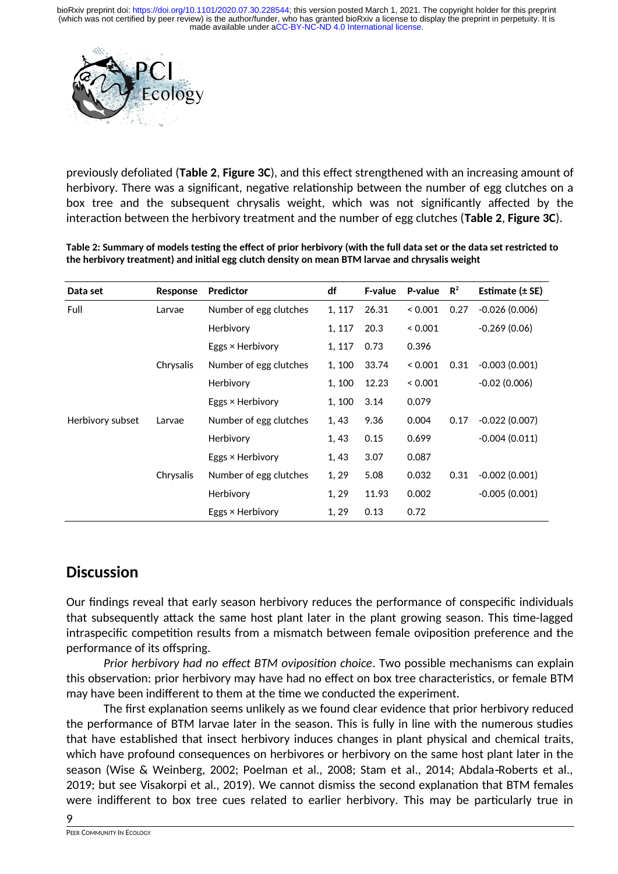

previously defoliated (**Table 2**, **Figure 3C**), and this effect strengthened with an increasing amount of herbivory. There was a significant, negative relationship between the number of egg clutches on a box tree and the subsequent chrysalis weight, which was not significantly affected by the interaction between the herbivory treatment and the number of egg clutches (**Table 2**, **Figure 3C**).

**Table 2: Summary of models testing the effect of prior herbivory (with the full data set or the data set restricted to the herbivory treatment) and initial egg clutch density on mean BTM larvae and chrysalis weight**

| Data set         | Response  | <b>Predictor</b>        | df     | <b>F-value</b> | P-value | $\mathbf{R}^2$ | Estimate $(\pm$ SE) |
|------------------|-----------|-------------------------|--------|----------------|---------|----------------|---------------------|
| Full             | Larvae    | Number of egg clutches  | 1, 117 | 26.31          | 0.001   | 0.27           | $-0.026(0.006)$     |
|                  |           | Herbivory               | 1, 117 | 20.3           | 0.001   |                | $-0.269(0.06)$      |
|                  |           | Eggs × Herbivory        | 1, 117 | 0.73           | 0.396   |                |                     |
|                  | Chrysalis | Number of egg clutches  | 1, 100 | 33.74          | 0.001   | 0.31           | $-0.003(0.001)$     |
|                  |           | Herbivory               | 1, 100 | 12.23          | 0.001   |                | $-0.02(0.006)$      |
|                  |           | Eggs × Herbivory        | 1, 100 | 3.14           | 0.079   |                |                     |
| Herbivory subset | Larvae    | Number of egg clutches  | 1, 43  | 9.36           | 0.004   | 0.17           | $-0.022(0.007)$     |
|                  |           | Herbivory               | 1,43   | 0.15           | 0.699   |                | $-0.004(0.011)$     |
|                  |           | Eggs $\times$ Herbivory | 1, 43  | 3.07           | 0.087   |                |                     |
|                  | Chrysalis | Number of egg clutches  | 1, 29  | 5.08           | 0.032   | 0.31           | $-0.002(0.001)$     |
|                  |           | Herbivory               | 1, 29  | 11.93          | 0.002   |                | $-0.005(0.001)$     |
|                  |           | Eggs $\times$ Herbivory | 1, 29  | 0.13           | 0.72    |                |                     |

### **Discussion**

Our findings reveal that early season herbivory reduces the performance of conspecific individuals that subsequently attack the same host plant later in the plant growing season. This time-lagged intraspecific competition results from a mismatch between female oviposition preference and the performance of its offspring.

*Prior herbivory had no effect BTM oviposition choice*. Two possible mechanisms can explain this observation: prior herbivory may have had no effect on box tree characteristics, or female BTM may have been indifferent to them at the time we conducted the experiment.

The first explanation seems unlikely as we found clear evidence that prior herbivory reduced the performance of BTM larvae later in the season. This is fully in line with the numerous studies that have established that insect herbivory induces changes in plant physical and chemical traits, which have profound consequences on herbivores or herbivory on the same host plant later in the season (Wise & Weinberg, 2002; Poelman et al., 2008; Stam et al., 2014; Abdala Roberts et al., 2019; but see Visakorpi et al., 2019). We cannot dismiss the second explanation that BTM females were indifferent to box tree cues related to earlier herbivory. This may be particularly true in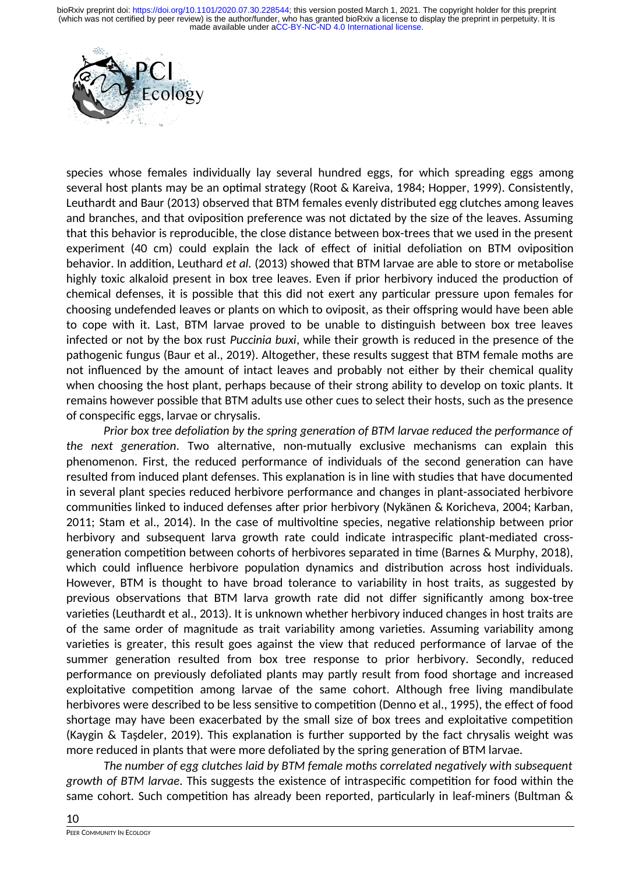

species whose females individually lay several hundred eggs, for which spreading eggs among several host plants may be an optimal strategy (Root & Kareiva, 1984; Hopper, 1999). Consistently, Leuthardt and Baur (2013) observed that BTM females evenly distributed egg clutches among leaves and branches, and that oviposition preference was not dictated by the size of the leaves. Assuming that this behavior is reproducible, the close distance between box-trees that we used in the present experiment (40 cm) could explain the lack of effect of initial defoliation on BTM oviposition behavior. In addition, Leuthard *et al.* (2013) showed that BTM larvae are able to store or metabolise highly toxic alkaloid present in box tree leaves. Even if prior herbivory induced the production of chemical defenses, it is possible that this did not exert any particular pressure upon females for choosing undefended leaves or plants on which to oviposit, as their offspring would have been able to cope with it. Last, BTM larvae proved to be unable to distinguish between box tree leaves infected or not by the box rust *Puccinia buxi*, while their growth is reduced in the presence of the pathogenic fungus (Baur et al., 2019). Altogether, these results suggest that BTM female moths are not influenced by the amount of intact leaves and probably not either by their chemical quality when choosing the host plant, perhaps because of their strong ability to develop on toxic plants. It remains however possible that BTM adults use other cues to select their hosts, such as the presence of conspecific eggs, larvae or chrysalis.

*Prior box tree defoliation by the spring generation of BTM larvae reduced the performance of the next generation*. Two alternative, non-mutually exclusive mechanisms can explain this phenomenon. First, the reduced performance of individuals of the second generation can have resulted from induced plant defenses. This explanation is in line with studies that have documented in several plant species reduced herbivore performance and changes in plant-associated herbivore communities linked to induced defenses after prior herbivory (Nykänen & Koricheva, 2004; Karban, 2011; Stam et al., 2014). In the case of multivoltine species, negative relationship between prior herbivory and subsequent larva growth rate could indicate intraspecific plant-mediated crossgeneration competition between cohorts of herbivores separated in time (Barnes & Murphy, 2018), which could influence herbivore population dynamics and distribution across host individuals. However, BTM is thought to have broad tolerance to variability in host traits, as suggested by previous observations that BTM larva growth rate did not differ significantly among box-tree varieties (Leuthardt et al., 2013). It is unknown whether herbivory induced changes in host traits are of the same order of magnitude as trait variability among varieties. Assuming variability among varieties is greater, this result goes against the view that reduced performance of larvae of the summer generation resulted from box tree response to prior herbivory. Secondly, reduced performance on previously defoliated plants may partly result from food shortage and increased exploitative competition among larvae of the same cohort. Although free living mandibulate herbivores were described to be less sensitive to competition (Denno et al., 1995), the effect of food shortage may have been exacerbated by the small size of box trees and exploitative competition (Kaygin & Taşdeler, 2019). This explanation is further supported by the fact chrysalis weight was more reduced in plants that were more defoliated by the spring generation of BTM larvae.

*The number of egg clutches laid by BTM female moths correlated negatively with subsequent growth of BTM larvae*. This suggests the existence of intraspecific competition for food within the same cohort. Such competition has already been reported, particularly in leaf-miners (Bultman &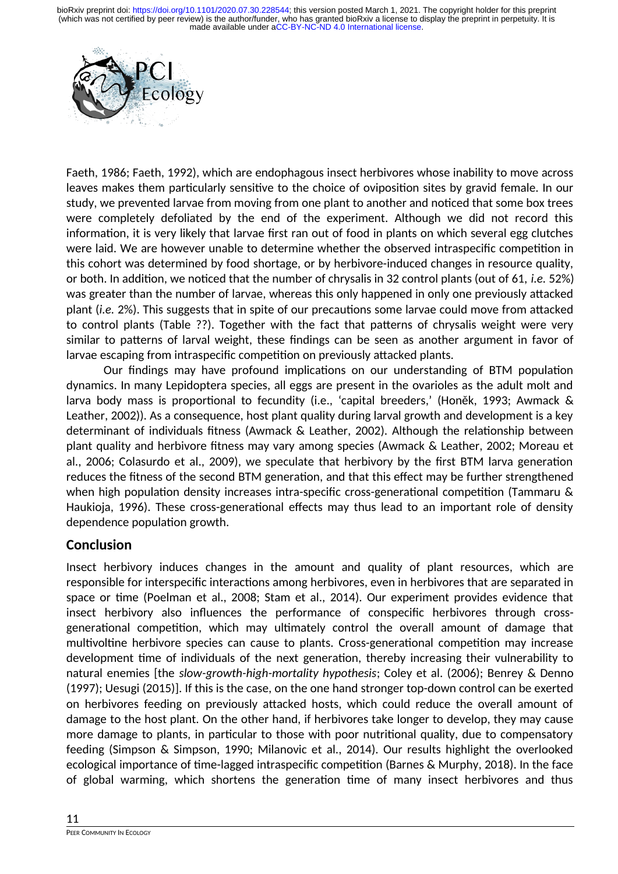

Faeth, 1986; Faeth, 1992), which are endophagous insect herbivores whose inability to move across leaves makes them particularly sensitive to the choice of oviposition sites by gravid female. In our study, we prevented larvae from moving from one plant to another and noticed that some box trees were completely defoliated by the end of the experiment. Although we did not record this information, it is very likely that larvae first ran out of food in plants on which several egg clutches were laid. We are however unable to determine whether the observed intraspecific competition in this cohort was determined by food shortage, or by herbivore-induced changes in resource quality, or both. In addition, we noticed that the number of chrysalis in 32 control plants (out of 61, *i.e.* 52%) was greater than the number of larvae, whereas this only happened in only one previously attacked plant (*i.e.* 2%). This suggests that in spite of our precautions some larvae could move from attacked to control plants (Table ??). Together with the fact that patterns of chrysalis weight were very similar to patterns of larval weight, these findings can be seen as another argument in favor of larvae escaping from intraspecific competition on previously attacked plants.

Our findings may have profound implications on our understanding of BTM population dynamics. In many Lepidoptera species, all eggs are present in the ovarioles as the adult molt and larva body mass is proportional to fecundity (i.e., 'capital breeders,' (Honěk, 1993; Awmack & Leather, 2002)). As a consequence, host plant quality during larval growth and development is a key determinant of individuals fitness (Awmack & Leather, 2002). Although the relationship between plant quality and herbivore fitness may vary among species (Awmack & Leather, 2002; Moreau et al., 2006; Colasurdo et al., 2009), we speculate that herbivory by the first BTM larva generation reduces the fitness of the second BTM generation, and that this effect may be further strengthened when high population density increases intra-specific cross-generational competition (Tammaru & Haukioja, 1996). These cross-generational effects may thus lead to an important role of density dependence population growth.

#### **Conclusion**

Insect herbivory induces changes in the amount and quality of plant resources, which are responsible for interspecific interactions among herbivores, even in herbivores that are separated in space or time (Poelman et al., 2008; Stam et al., 2014). Our experiment provides evidence that insect herbivory also influences the performance of conspecific herbivores through crossgenerational competition, which may ultimately control the overall amount of damage that multivoltine herbivore species can cause to plants. Cross-generational competition may increase development time of individuals of the next generation, thereby increasing their vulnerability to natural enemies [the *slow-growth-high-mortality hypothesis*; Coley et al. (2006); Benrey & Denno (1997); Uesugi (2015)]. If this is the case, on the one hand stronger top-down control can be exerted on herbivores feeding on previously attacked hosts, which could reduce the overall amount of damage to the host plant. On the other hand, if herbivores take longer to develop, they may cause more damage to plants, in particular to those with poor nutritional quality, due to compensatory feeding (Simpson & Simpson, 1990; Milanovic et al., 2014). Our results highlight the overlooked ecological importance of time-lagged intraspecific competition (Barnes & Murphy, 2018). In the face of global warming, which shortens the generation time of many insect herbivores and thus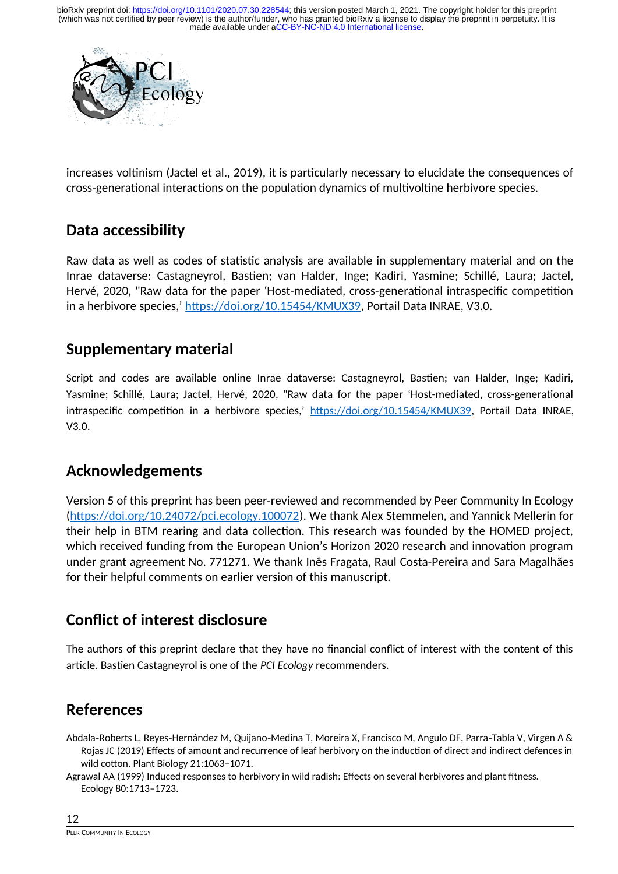

increases voltinism (Jactel et al., 2019), it is particularly necessary to elucidate the consequences of cross-generational interactions on the population dynamics of multivoltine herbivore species.

### **Data accessibility**

Raw data as well as codes of statistic analysis are available in supplementary material and on the Inrae dataverse: Castagneyrol, Bastien; van Halder, Inge; Kadiri, Yasmine; Schillé, Laura; Jactel, Hervé, 2020, "Raw data for the paper 'Host-mediated, cross-generational intraspecific competition in a herbivore species,' [https://doi.org/10.15454/KMUX39,](https://doi.org/10.15454/KMUX39) Portail Data INRAE, V3.0.

### **Supplementary material**

Script and codes are available online Inrae dataverse: Castagneyrol, Bastien; van Halder, Inge; Kadiri, Yasmine; Schillé, Laura; Jactel, Hervé, 2020, "Raw data for the paper 'Host-mediated, cross-generational intraspecific competition in a herbivore species,' [https://doi.org/10.15454/KMUX39,](https://doi.org/10.15454/KMUX39) Portail Data INRAE, V3.0.

## **Acknowledgements**

Version 5 of this preprint has been peer-reviewed and recommended by Peer Community In Ecology [\(https://doi.org/10.24072/pci.ecology.100072\)](https://doi.org/10.24072/pci.ecology.100072). We thank Alex Stemmelen, and Yannick Mellerin for their help in BTM rearing and data collection. This research was founded by the HOMED project, which received funding from the European Union's Horizon 2020 research and innovation program under grant agreement No. 771271. We thank Inês Fragata, Raul Costa-Pereira and Sara Magalhães for their helpful comments on earlier version of this manuscript.

## **Conflict of interest disclosure**

The authors of this preprint declare that they have no financial conflict of interest with the content of this article. Bastien Castagneyrol is one of the *PCI Ecology* recommenders.

## **References**

Abdala Roberts L, Reyes Hernández M, Quijano Medina T, Moreira X, Francisco M, Angulo DF, Parra Tabla V, Virgen A & Rojas JC (2019) Effects of amount and recurrence of leaf herbivory on the induction of direct and indirect defences in wild cotton. Plant Biology 21:1063–1071.

Agrawal AA (1999) Induced responses to herbivory in wild radish: Effects on several herbivores and plant fitness. Ecology 80:1713–1723.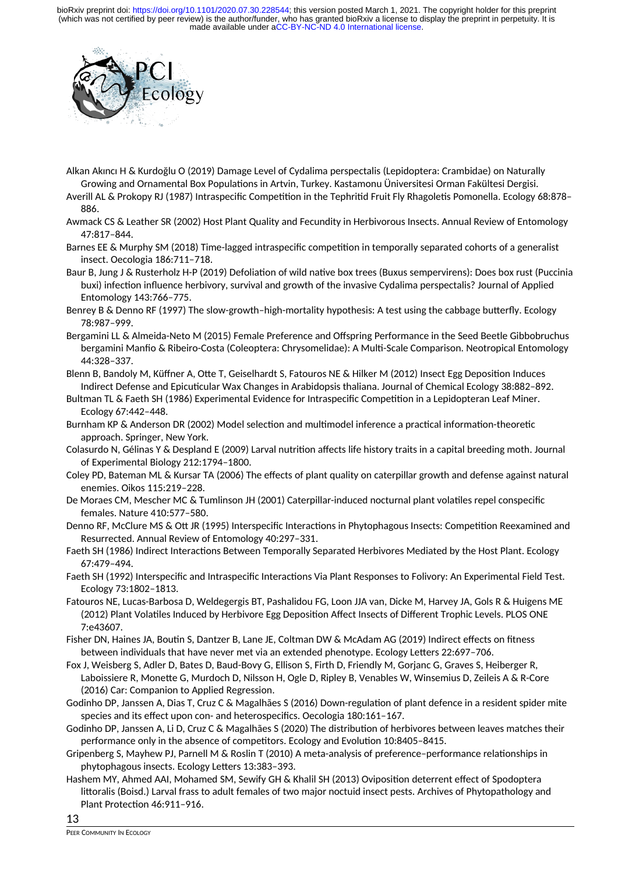

Alkan Akıncı H & Kurdoğlu O (2019) Damage Level of Cydalima perspectalis (Lepidoptera: Crambidae) on Naturally Growing and Ornamental Box Populations in Artvin, Turkey. Kastamonu Üniversitesi Orman Fakültesi Dergisi.

Averill AL & Prokopy RJ (1987) Intraspecific Competition in the Tephritid Fruit Fly Rhagoletis Pomonella. Ecology 68:878– 886.

Awmack CS & Leather SR (2002) Host Plant Quality and Fecundity in Herbivorous Insects. Annual Review of Entomology 47:817–844.

Barnes EE & Murphy SM (2018) Time-lagged intraspecific competition in temporally separated cohorts of a generalist insect. Oecologia 186:711–718.

Baur B, Jung J & Rusterholz H-P (2019) Defoliation of wild native box trees (Buxus sempervirens): Does box rust (Puccinia buxi) infection influence herbivory, survival and growth of the invasive Cydalima perspectalis? Journal of Applied Entomology 143:766–775.

Benrey B & Denno RF (1997) The slow-growth–high-mortality hypothesis: A test using the cabbage butterfly. Ecology 78:987–999.

Bergamini LL & Almeida-Neto M (2015) Female Preference and Offspring Performance in the Seed Beetle Gibbobruchus bergamini Manfio & Ribeiro-Costa (Coleoptera: Chrysomelidae): A Multi-Scale Comparison. Neotropical Entomology 44:328–337.

Blenn B, Bandoly M, Küffner A, Otte T, Geiselhardt S, Fatouros NE & Hilker M (2012) Insect Egg Deposition Induces Indirect Defense and Epicuticular Wax Changes in Arabidopsis thaliana. Journal of Chemical Ecology 38:882–892.

Bultman TL & Faeth SH (1986) Experimental Evidence for Intraspecific Competition in a Lepidopteran Leaf Miner. Ecology 67:442–448.

Burnham KP & Anderson DR (2002) Model selection and multimodel inference a practical information-theoretic approach. Springer, New York.

Colasurdo N, Gélinas Y & Despland E (2009) Larval nutrition affects life history traits in a capital breeding moth. Journal of Experimental Biology 212:1794–1800.

Coley PD, Bateman ML & Kursar TA (2006) The effects of plant quality on caterpillar growth and defense against natural enemies. Oikos 115:219–228.

De Moraes CM, Mescher MC & Tumlinson JH (2001) Caterpillar-induced nocturnal plant volatiles repel conspecific females. Nature 410:577–580.

Denno RF, McClure MS & Ott JR (1995) Interspecific Interactions in Phytophagous Insects: Competition Reexamined and Resurrected. Annual Review of Entomology 40:297–331.

Faeth SH (1986) Indirect Interactions Between Temporally Separated Herbivores Mediated by the Host Plant. Ecology 67:479–494.

Faeth SH (1992) Interspecific and Intraspecific Interactions Via Plant Responses to Folivory: An Experimental Field Test. Ecology 73:1802–1813.

Fatouros NE, Lucas-Barbosa D, Weldegergis BT, Pashalidou FG, Loon JJA van, Dicke M, Harvey JA, Gols R & Huigens ME (2012) Plant Volatiles Induced by Herbivore Egg Deposition Affect Insects of Different Trophic Levels. PLOS ONE 7:e43607.

Fisher DN, Haines JA, Boutin S, Dantzer B, Lane JE, Coltman DW & McAdam AG (2019) Indirect effects on fitness between individuals that have never met via an extended phenotype. Ecology Letters 22:697–706.

Fox J, Weisberg S, Adler D, Bates D, Baud-Bovy G, Ellison S, Firth D, Friendly M, Gorjanc G, Graves S, Heiberger R, Laboissiere R, Monette G, Murdoch D, Nilsson H, Ogle D, Ripley B, Venables W, Winsemius D, Zeileis A & R-Core (2016) Car: Companion to Applied Regression.

Godinho DP, Janssen A, Dias T, Cruz C & Magalhães S (2016) Down-regulation of plant defence in a resident spider mite species and its effect upon con- and heterospecifics. Oecologia 180:161–167.

Godinho DP, Janssen A, Li D, Cruz C & Magalhães S (2020) The distribution of herbivores between leaves matches their performance only in the absence of competitors. Ecology and Evolution 10:8405–8415.

Gripenberg S, Mayhew PJ, Parnell M & Roslin T (2010) A meta-analysis of preference–performance relationships in phytophagous insects. Ecology Letters 13:383–393.

Hashem MY, Ahmed AAI, Mohamed SM, Sewify GH & Khalil SH (2013) Oviposition deterrent effect of Spodoptera littoralis (Boisd.) Larval frass to adult females of two major noctuid insect pests. Archives of Phytopathology and Plant Protection 46:911–916.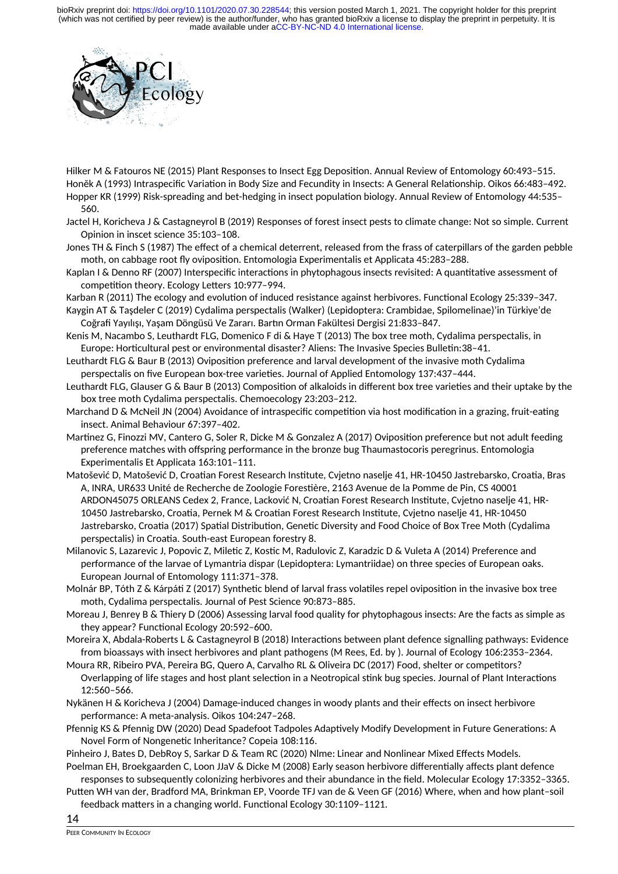

Hilker M & Fatouros NE (2015) Plant Responses to Insect Egg Deposition. Annual Review of Entomology 60:493–515. Honěk A (1993) Intraspecific Variation in Body Size and Fecundity in Insects: A General Relationship. Oikos 66:483–492. Hopper KR (1999) Risk-spreading and bet-hedging in insect population biology. Annual Review of Entomology 44:535– 560.

Jactel H, Koricheva J & Castagneyrol B (2019) Responses of forest insect pests to climate change: Not so simple. Current Opinion in inscet science 35:103–108.

Jones TH & Finch S (1987) The effect of a chemical deterrent, released from the frass of caterpillars of the garden pebble moth, on cabbage root fly oviposition. Entomologia Experimentalis et Applicata 45:283–288.

Kaplan I & Denno RF (2007) Interspecific interactions in phytophagous insects revisited: A quantitative assessment of competition theory. Ecology Letters 10:977–994.

Karban R (2011) The ecology and evolution of induced resistance against herbivores. Functional Ecology 25:339–347.

Kaygin AT & Taşdeler C (2019) Cydalima perspectalis (Walker) (Lepidoptera: Crambidae, Spilomelinae)'in Türkiye'de Coğrafi Yayılışı, Yaşam Döngüsü Ve Zararı. Bartın Orman Fakültesi Dergisi 21:833–847.

Kenis M, Nacambo S, Leuthardt FLG, Domenico F di & Haye T (2013) The box tree moth, Cydalima perspectalis, in Europe: Horticultural pest or environmental disaster? Aliens: The Invasive Species Bulletin:38–41.

- Leuthardt FLG & Baur B (2013) Oviposition preference and larval development of the invasive moth Cydalima perspectalis on five European box-tree varieties. Journal of Applied Entomology 137:437–444.
- Leuthardt FLG, Glauser G & Baur B (2013) Composition of alkaloids in different box tree varieties and their uptake by the box tree moth Cydalima perspectalis. Chemoecology 23:203–212.
- Marchand D & McNeil JN (2004) Avoidance of intraspecific competition via host modification in a grazing, fruit-eating insect. Animal Behaviour 67:397–402.
- Martinez G, Finozzi MV, Cantero G, Soler R, Dicke M & Gonzalez A (2017) Oviposition preference but not adult feeding preference matches with offspring performance in the bronze bug Thaumastocoris peregrinus. Entomologia Experimentalis Et Applicata 163:101–111.
- Matošević D, Matošević D, Croatian Forest Research Institute, Cvjetno naselje 41, HR-10450 Jastrebarsko, Croatia, Bras A, INRA, UR633 Unité de Recherche de Zoologie Forestière, 2163 Avenue de la Pomme de Pin, CS 40001 ARDON45075 ORLEANS Cedex 2, France, Lacković N, Croatian Forest Research Institute, Cvjetno naselje 41, HR-10450 Jastrebarsko, Croatia, Pernek M & Croatian Forest Research Institute, Cvjetno naselje 41, HR-10450 Jastrebarsko, Croatia (2017) Spatial Distribution, Genetic Diversity and Food Choice of Box Tree Moth (Cydalima perspectalis) in Croatia. South-east European forestry 8.
- Milanovic S, Lazarevic J, Popovic Z, Miletic Z, Kostic M, Radulovic Z, Karadzic D & Vuleta A (2014) Preference and performance of the larvae of Lymantria dispar (Lepidoptera: Lymantriidae) on three species of European oaks. European Journal of Entomology 111:371–378.
- Molnár BP, Tóth Z & Kárpáti Z (2017) Synthetic blend of larval frass volatiles repel oviposition in the invasive box tree moth, Cydalima perspectalis. Journal of Pest Science 90:873–885.

Moreau J, Benrey B & Thiery D (2006) Assessing larval food quality for phytophagous insects: Are the facts as simple as they appear? Functional Ecology 20:592–600.

Moreira X, Abdala-Roberts L & Castagneyrol B (2018) Interactions between plant defence signalling pathways: Evidence from bioassays with insect herbivores and plant pathogens (M Rees, Ed. by ). Journal of Ecology 106:2353–2364.

- Moura RR, Ribeiro PVA, Pereira BG, Quero A, Carvalho RL & Oliveira DC (2017) Food, shelter or competitors? Overlapping of life stages and host plant selection in a Neotropical stink bug species. Journal of Plant Interactions 12:560–566.
- Nykänen H & Koricheva J (2004) Damage-induced changes in woody plants and their effects on insect herbivore performance: A meta-analysis. Oikos 104:247–268.
- Pfennig KS & Pfennig DW (2020) Dead Spadefoot Tadpoles Adaptively Modify Development in Future Generations: A Novel Form of Nongenetic Inheritance? Copeia 108:116.

Pinheiro J, Bates D, DebRoy S, Sarkar D & Team RC (2020) Nlme: Linear and Nonlinear Mixed Effects Models.

Poelman EH, Broekgaarden C, Loon JJaV & Dicke M (2008) Early season herbivore differentially affects plant defence responses to subsequently colonizing herbivores and their abundance in the field. Molecular Ecology 17:3352–3365.

Putten WH van der, Bradford MA, Brinkman EP, Voorde TFJ van de & Veen GF (2016) Where, when and how plant–soil feedback matters in a changing world. Functional Ecology 30:1109–1121.